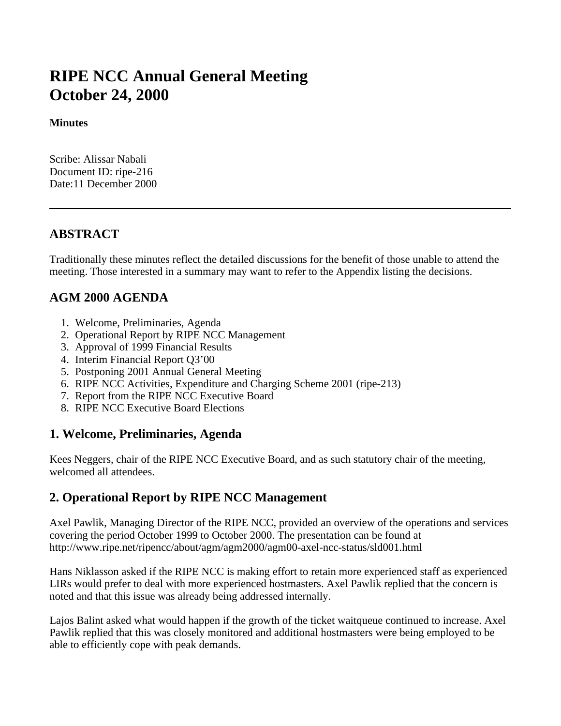# **RIPE NCC Annual General Meeting October 24, 2000**

#### **Minutes**

Scribe: Alissar Nabali Document ID: ripe-216 Date:11 December 2000

#### **ABSTRACT**

Traditionally these minutes reflect the detailed discussions for the benefit of those unable to attend the meeting. Those interested in a summary may want to refer to the Appendix listing the decisions.

#### **AGM 2000 AGENDA**

- 1. Welcome, Preliminaries, Agenda
- 2. Operational Report by RIPE NCC Management
- 3. Approval of 1999 Financial Results
- 4. Interim Financial Report Q3'00
- 5. Postponing 2001 Annual General Meeting
- 6. RIPE NCC Activities, Expenditure and Charging Scheme 2001 (ripe-213)
- 7. Report from the RIPE NCC Executive Board
- 8. RIPE NCC Executive Board Elections

#### **1. Welcome, Preliminaries, Agenda**

Kees Neggers, chair of the RIPE NCC Executive Board, and as such statutory chair of the meeting, welcomed all attendees.

#### **2. Operational Report by RIPE NCC Management**

Axel Pawlik, Managing Director of the RIPE NCC, provided an overview of the operations and services covering the period October 1999 to October 2000. The presentation can be found at http://www.ripe.net/ripencc/about/agm/agm2000/agm00-axel-ncc-status/sld001.html

Hans Niklasson asked if the RIPE NCC is making effort to retain more experienced staff as experienced LIRs would prefer to deal with more experienced hostmasters. Axel Pawlik replied that the concern is noted and that this issue was already being addressed internally.

Lajos Balint asked what would happen if the growth of the ticket waitqueue continued to increase. Axel Pawlik replied that this was closely monitored and additional hostmasters were being employed to be able to efficiently cope with peak demands.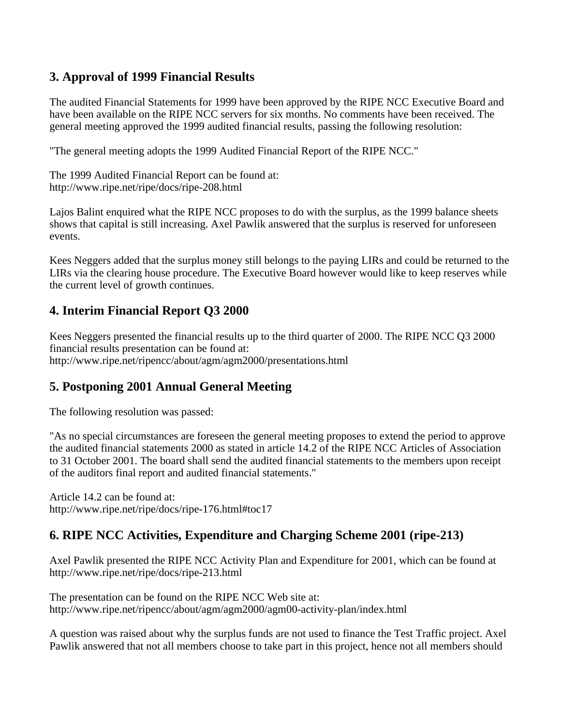### **3. Approval of 1999 Financial Results**

The audited Financial Statements for 1999 have been approved by the RIPE NCC Executive Board and have been available on the RIPE NCC servers for six months. No comments have been received. The general meeting approved the 1999 audited financial results, passing the following resolution:

"The general meeting adopts the 1999 Audited Financial Report of the RIPE NCC."

The 1999 Audited Financial Report can be found at: http://www.ripe.net/ripe/docs/ripe-208.html

Lajos Balint enquired what the RIPE NCC proposes to do with the surplus, as the 1999 balance sheets shows that capital is still increasing. Axel Pawlik answered that the surplus is reserved for unforeseen events.

Kees Neggers added that the surplus money still belongs to the paying LIRs and could be returned to the LIRs via the clearing house procedure. The Executive Board however would like to keep reserves while the current level of growth continues.

### **4. Interim Financial Report Q3 2000**

Kees Neggers presented the financial results up to the third quarter of 2000. The RIPE NCC Q3 2000 financial results presentation can be found at: http://www.ripe.net/ripencc/about/agm/agm2000/presentations.html

## **5. Postponing 2001 Annual General Meeting**

The following resolution was passed:

"As no special circumstances are foreseen the general meeting proposes to extend the period to approve the audited financial statements 2000 as stated in article 14.2 of the RIPE NCC Articles of Association to 31 October 2001. The board shall send the audited financial statements to the members upon receipt of the auditors final report and audited financial statements."

Article 14.2 can be found at: http://www.ripe.net/ripe/docs/ripe-176.html#toc17

## **6. RIPE NCC Activities, Expenditure and Charging Scheme 2001 (ripe-213)**

Axel Pawlik presented the RIPE NCC Activity Plan and Expenditure for 2001, which can be found at http://www.ripe.net/ripe/docs/ripe-213.html

The presentation can be found on the RIPE NCC Web site at: http://www.ripe.net/ripencc/about/agm/agm2000/agm00-activity-plan/index.html

A question was raised about why the surplus funds are not used to finance the Test Traffic project. Axel Pawlik answered that not all members choose to take part in this project, hence not all members should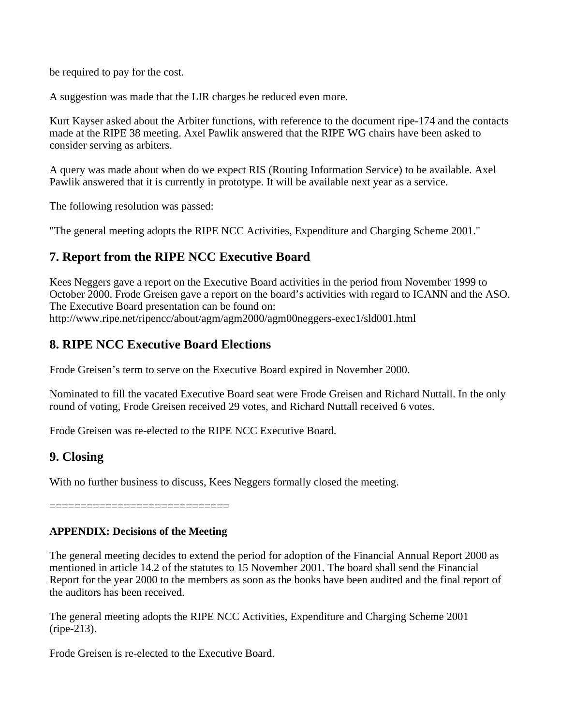be required to pay for the cost.

A suggestion was made that the LIR charges be reduced even more.

Kurt Kayser asked about the Arbiter functions, with reference to the document ripe-174 and the contacts made at the RIPE 38 meeting. Axel Pawlik answered that the RIPE WG chairs have been asked to consider serving as arbiters.

A query was made about when do we expect RIS (Routing Information Service) to be available. Axel Pawlik answered that it is currently in prototype. It will be available next year as a service.

The following resolution was passed:

"The general meeting adopts the RIPE NCC Activities, Expenditure and Charging Scheme 2001."

### **7. Report from the RIPE NCC Executive Board**

Kees Neggers gave a report on the Executive Board activities in the period from November 1999 to October 2000. Frode Greisen gave a report on the board's activities with regard to ICANN and the ASO. The Executive Board presentation can be found on: http://www.ripe.net/ripencc/about/agm/agm2000/agm00neggers-exec1/sld001.html

### **8. RIPE NCC Executive Board Elections**

Frode Greisen's term to serve on the Executive Board expired in November 2000.

Nominated to fill the vacated Executive Board seat were Frode Greisen and Richard Nuttall. In the only round of voting, Frode Greisen received 29 votes, and Richard Nuttall received 6 votes.

Frode Greisen was re-elected to the RIPE NCC Executive Board.

#### **9. Closing**

With no further business to discuss, Kees Neggers formally closed the meeting.

—————————————————

#### **APPENDIX: Decisions of the Meeting**

The general meeting decides to extend the period for adoption of the Financial Annual Report 2000 as mentioned in article 14.2 of the statutes to 15 November 2001. The board shall send the Financial Report for the year 2000 to the members as soon as the books have been audited and the final report of the auditors has been received.

The general meeting adopts the RIPE NCC Activities, Expenditure and Charging Scheme 2001 (ripe-213).

Frode Greisen is re-elected to the Executive Board.